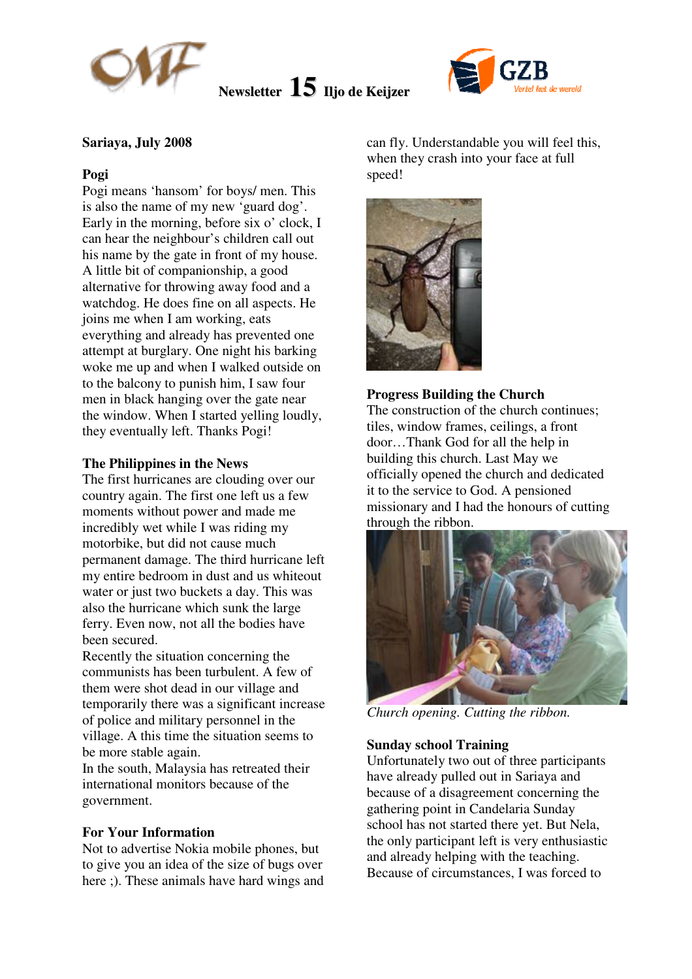

**Newsletter 15 Iljo de Keijzer**



# **Sariaya, July 2008**

## **Pogi**

Pogi means 'hansom' for boys/ men. This is also the name of my new 'guard dog'. Early in the morning, before six o' clock, I can hear the neighbour's children call out his name by the gate in front of my house. A little bit of companionship, a good alternative for throwing away food and a watchdog. He does fine on all aspects. He joins me when I am working, eats everything and already has prevented one attempt at burglary. One night his barking woke me up and when I walked outside on to the balcony to punish him, I saw four men in black hanging over the gate near the window. When I started yelling loudly, they eventually left. Thanks Pogi!

## **The Philippines in the News**

The first hurricanes are clouding over our country again. The first one left us a few moments without power and made me incredibly wet while I was riding my motorbike, but did not cause much permanent damage. The third hurricane left my entire bedroom in dust and us whiteout water or just two buckets a day. This was also the hurricane which sunk the large ferry. Even now, not all the bodies have been secured.

Recently the situation concerning the communists has been turbulent. A few of them were shot dead in our village and temporarily there was a significant increase of police and military personnel in the village. A this time the situation seems to be more stable again.

In the south, Malaysia has retreated their international monitors because of the government.

#### **For Your Information**

Not to advertise Nokia mobile phones, but to give you an idea of the size of bugs over here ;). These animals have hard wings and

can fly. Understandable you will feel this, when they crash into your face at full speed!



## **Progress Building the Church**

The construction of the church continues; tiles, window frames, ceilings, a front door…Thank God for all the help in building this church. Last May we officially opened the church and dedicated it to the service to God. A pensioned missionary and I had the honours of cutting through the ribbon.



*Church opening. Cutting the ribbon.* 

## **Sunday school Training**

Unfortunately two out of three participants have already pulled out in Sariaya and because of a disagreement concerning the gathering point in Candelaria Sunday school has not started there yet. But Nela, the only participant left is very enthusiastic and already helping with the teaching. Because of circumstances, I was forced to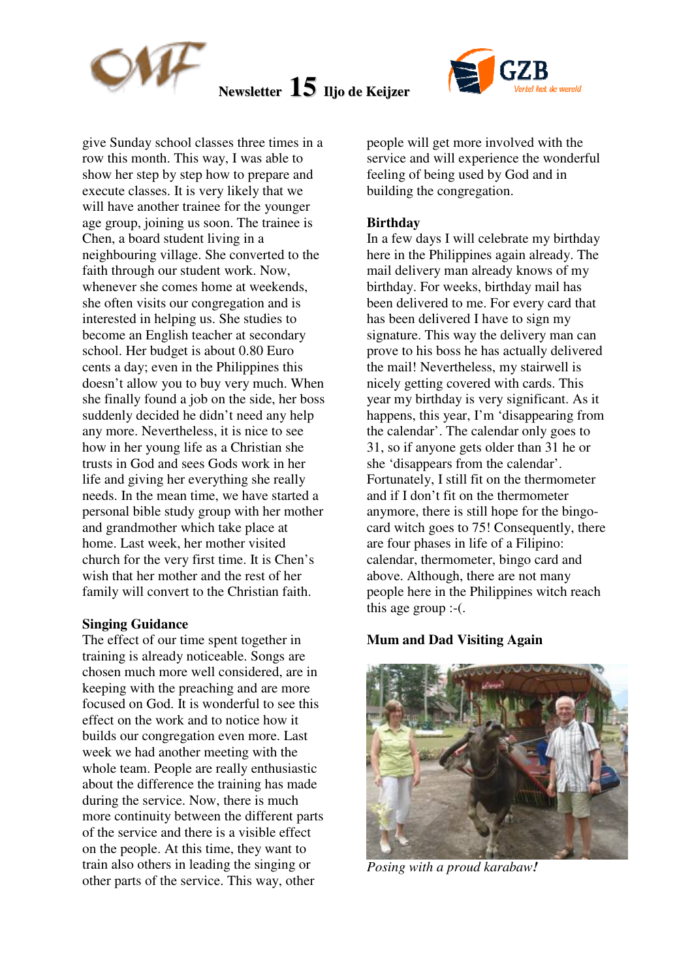

# **Newsletter 15 Iljo de Keijzer**



give Sunday school classes three times in a row this month. This way, I was able to show her step by step how to prepare and execute classes. It is very likely that we will have another trainee for the younger age group, joining us soon. The trainee is Chen, a board student living in a neighbouring village. She converted to the faith through our student work. Now, whenever she comes home at weekends, she often visits our congregation and is interested in helping us. She studies to become an English teacher at secondary school. Her budget is about 0.80 Euro cents a day; even in the Philippines this doesn't allow you to buy very much. When she finally found a job on the side, her boss suddenly decided he didn't need any help any more. Nevertheless, it is nice to see how in her young life as a Christian she trusts in God and sees Gods work in her life and giving her everything she really needs. In the mean time, we have started a personal bible study group with her mother and grandmother which take place at home. Last week, her mother visited church for the very first time. It is Chen's wish that her mother and the rest of her family will convert to the Christian faith.

# **Singing Guidance**

The effect of our time spent together in training is already noticeable. Songs are chosen much more well considered, are in keeping with the preaching and are more focused on God. It is wonderful to see this effect on the work and to notice how it builds our congregation even more. Last week we had another meeting with the whole team. People are really enthusiastic about the difference the training has made during the service. Now, there is much more continuity between the different parts of the service and there is a visible effect on the people. At this time, they want to train also others in leading the singing or other parts of the service. This way, other

people will get more involved with the service and will experience the wonderful feeling of being used by God and in building the congregation.

# **Birthday**

In a few days I will celebrate my birthday here in the Philippines again already. The mail delivery man already knows of my birthday. For weeks, birthday mail has been delivered to me. For every card that has been delivered I have to sign my signature. This way the delivery man can prove to his boss he has actually delivered the mail! Nevertheless, my stairwell is nicely getting covered with cards. This year my birthday is very significant. As it happens, this year, I'm 'disappearing from the calendar'. The calendar only goes to 31, so if anyone gets older than 31 he or she 'disappears from the calendar'. Fortunately, I still fit on the thermometer and if I don't fit on the thermometer anymore, there is still hope for the bingocard witch goes to 75! Consequently, there are four phases in life of a Filipino: calendar, thermometer, bingo card and above. Although, there are not many people here in the Philippines witch reach this age group :-(.

#### **Mum and Dad Visiting Again**



*Posing with a proud karabaw!*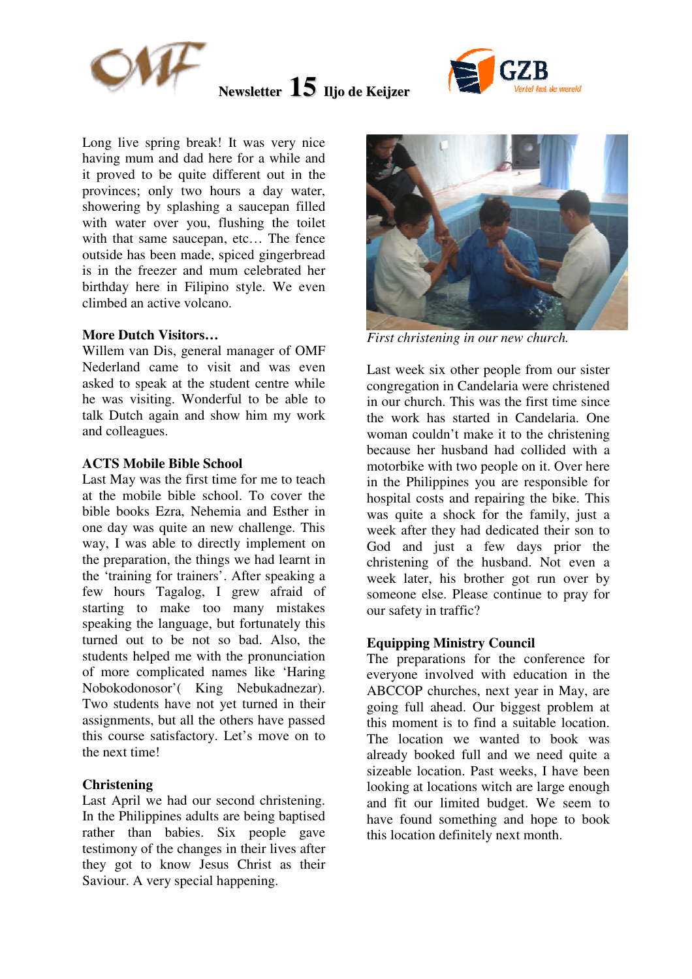

**Newsletter 15 Iljo de Keijzer**



Long live spring break! It was very nice having mum and dad here for a while and it proved to be quite different out in the provinces; only two hours a day water, showering by splashing a saucepan filled with water over you, flushing the toilet with that same saucepan, etc... The fence outside has been made, spiced gingerbread is in the freezer and mum celebrated her birthday here in Filipino style. We even climbed an active volcano.

## **More Dutch Visitors…**

Willem van Dis, general manager of OMF Nederland came to visit and was even asked to speak at the student centre while he was visiting. Wonderful to be able to talk Dutch again and show him my work and colleagues.

# **ACTS Mobile Bible School**

Last May was the first time for me to teach at the mobile bible school. To cover the bible books Ezra, Nehemia and Esther in one day was quite an new challenge. This way, I was able to directly implement on the preparation, the things we had learnt in the 'training for trainers'. After speaking a few hours Tagalog, I grew afraid of starting to make too many mistakes speaking the language, but fortunately this turned out to be not so bad. Also, the students helped me with the pronunciation of more complicated names like 'Haring Nobokodonosor'( King Nebukadnezar). Two students have not yet turned in their assignments, but all the others have passed this course satisfactory. Let's move on to the next time!

# **Christening**

Last April we had our second christening. In the Philippines adults are being baptised rather than babies. Six people gave testimony of the changes in their lives after they got to know Jesus Christ as their Saviour. A very special happening.



*First christening in our new church.* 

Last week six other people from our sister congregation in Candelaria were christened in our church. This was the first time since the work has started in Candelaria. One woman couldn't make it to the christening because her husband had collided with a motorbike with two people on it. Over here in the Philippines you are responsible for hospital costs and repairing the bike. This was quite a shock for the family, just a week after they had dedicated their son to God and just a few days prior the christening of the husband. Not even a week later, his brother got run over by someone else. Please continue to pray for our safety in traffic?

# **Equipping Ministry Council**

The preparations for the conference for everyone involved with education in the ABCCOP churches, next year in May, are going full ahead. Our biggest problem at this moment is to find a suitable location. The location we wanted to book was already booked full and we need quite a sizeable location. Past weeks, I have been looking at locations witch are large enough and fit our limited budget. We seem to have found something and hope to book this location definitely next month.